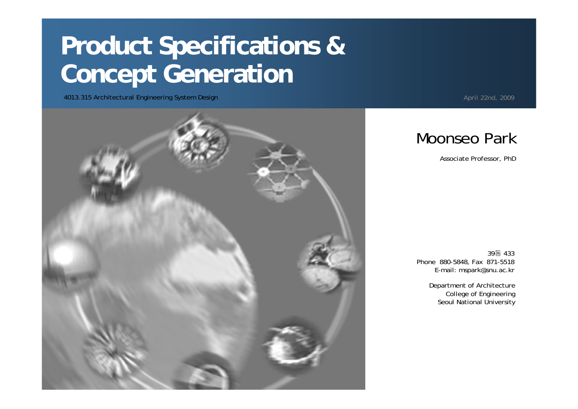### **Product Specifications & Concept Generation**

Achitectural Engineering System Design April 2009 and April 22nd, 2009 and April 22nd, 2009



### Moonseo Park

Associate Professor, PhD

39동 433 Phone 880-5848, Fax 871-5518 E-mail: mspark@snu.ac.kr

> Department of Architecture College of Engineering Seoul National University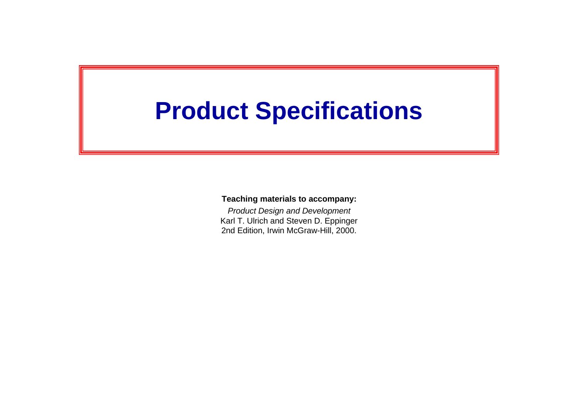### **Product Specifications**

#### **Teaching materials to accompany:**

*Product Design and Development* Karl T. Ulrich and Steven D. Eppinger 2nd Edition, Irwin McGraw-Hill, 2000.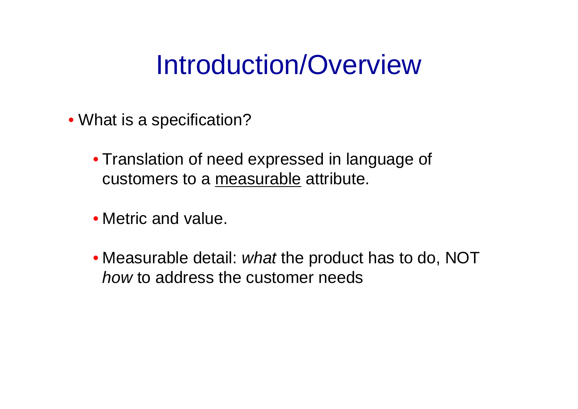# Introduction/Overview

- What is a specification?
	- Translation of need expressed in language of customers to a measurable attribute.
	- Metric and value.
	- Measurable detail: *what* the product has to do, NOT *how* to address the customer needs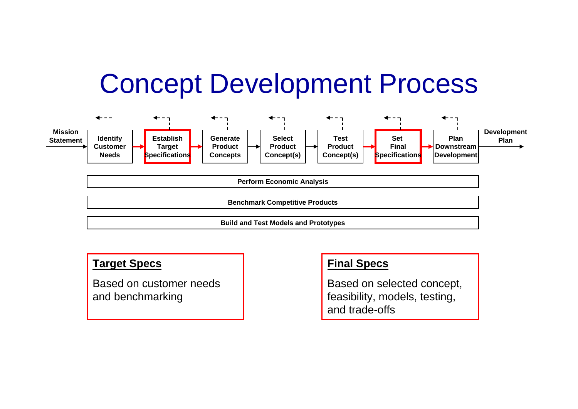### Concept Development Process



#### **Target Specs**

Based on customer needs and benchmarking

#### **Final Specs**

Based on selected concept, feasibility, models, testing, and trade-offs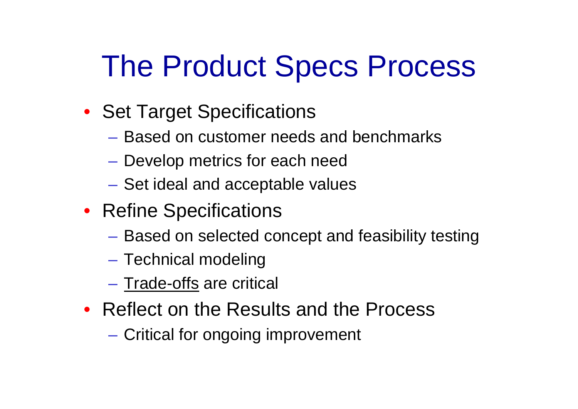# The Product Specs Process

- Set Target Specifications
	- Based on customer needs and benchmarks
	- **Links and Committee** Develop metrics for each need
	- –<br>–<br>– - Set ideal and acceptable values
- Refine Specifications
	- –<br>–<br>– Based on selected concept and feasibility testing
	- –<br>–<br>– – Technical modeling
	- Trade-offs are critical
- Reflect on the Results and the Process
	- Critical for ongoing improvement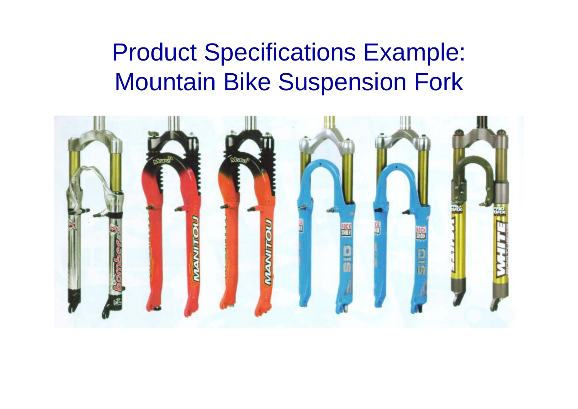### Product Specifications Example: Mountain Bike Suspension Fork

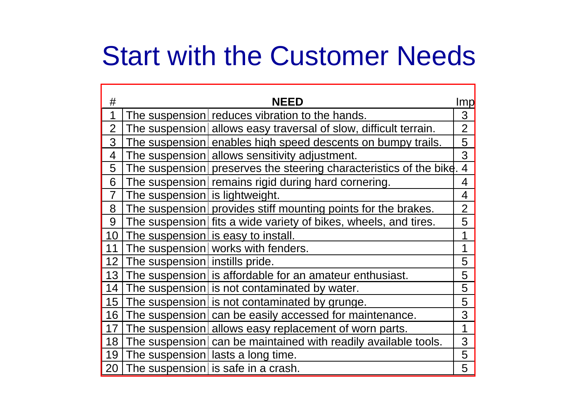# Start with the Customer Needs

| #              |                                | <b>NEED</b>                                                        | Imp            |
|----------------|--------------------------------|--------------------------------------------------------------------|----------------|
| 1              |                                | The suspension reduces vibration to the hands.                     | 3              |
| $\overline{2}$ |                                | The suspension allows easy traversal of slow, difficult terrain.   | $\overline{2}$ |
| 3              |                                | The suspension enables high speed descents on bumpy trails.        | 5              |
| 4              |                                | The suspension allows sensitivity adjustment.                      | 3              |
| 5              |                                | The suspension preserves the steering characteristics of the bike. | $\overline{4}$ |
| 6              |                                | The suspension remains rigid during hard cornering.                | 4              |
| $\overline{7}$ | The suspension is lightweight. |                                                                    | 4              |
| 8              |                                | The suspension provides stiff mounting points for the brakes.      | $\overline{2}$ |
| 9              |                                | The suspension fits a wide variety of bikes, wheels, and tires.    | 5              |
| 10             |                                | The suspension is easy to install.                                 | 1              |
| 11             |                                | The suspension works with fenders.                                 | 1              |
| 12             | The suspension instills pride. |                                                                    | 5              |
| 13             |                                | The suspension is affordable for an amateur enthusiast.            | 5              |
| 14             |                                | The suspension is not contaminated by water.                       | 5              |
| 15             |                                | The suspension is not contaminated by grunge.                      | 5              |
| 16             |                                | The suspension can be easily accessed for maintenance.             | 3              |
| 17             |                                | The suspension allows easy replacement of worn parts.              | 1              |
| 18             |                                | The suspension can be maintained with readily available tools.     | 3              |
| 19             |                                | The suspension lasts a long time.                                  | 5              |
| 20             |                                | The suspension  is safe in a crash.                                | 5              |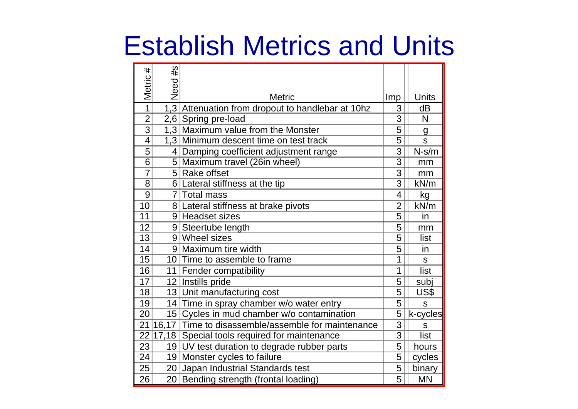# Establish Metrics and Units

| #               | #s              |                                                   |                |                    |
|-----------------|-----------------|---------------------------------------------------|----------------|--------------------|
| Metric          | <b>Need</b>     | <b>Metric</b>                                     | <i>Imp</i>     | Units              |
| $\mathbf 1$     |                 | 1,3 Attenuation from dropout to handlebar at 10hz | 3              | dB                 |
| $\overline{2}$  |                 | 2,6 Spring pre-load                               | 3              | N                  |
| 3               |                 | 1,3 Maximum value from the Monster                | 5              | g                  |
| $\overline{4}$  |                 | 1,3 Minimum descent time on test track            | 5              | S                  |
| 5               |                 | 4 Damping coefficient adjustment range            | 3              | $N-s/m$            |
| $\overline{6}$  |                 | 5 Maximum travel (26in wheel)                     | 3              | mm                 |
| $\overline{7}$  |                 | 5 Rake offset                                     | 3              | mm                 |
| 8               |                 | 6 Lateral stiffness at the tip                    | 3              | $\overline{k}$ N/m |
| $\overline{9}$  |                 | 7 Total mass                                      | 4              | kg                 |
| 10              |                 | 8 Lateral stiffness at brake pivots               | $\overline{2}$ | kN/m               |
| 11              |                 | 9 Headset sizes                                   | $\overline{5}$ | in                 |
| 12              | 9 <sup>1</sup>  | Steertube length                                  | 5              | mm                 |
| $\overline{13}$ |                 | 9 Wheel sizes                                     | 5              | list               |
| 14              |                 | 9 Maximum tire width                              | 5              | in                 |
| 15              |                 | 10 Time to assemble to frame                      | 1              | S                  |
| 16              | 11              | Fender compatibility                              | 1              | list               |
| 17              |                 | 12 Instills pride                                 | 5              | subj               |
| 18              |                 | 13 Unit manufacturing cost                        | 5              | US\$               |
| 19              |                 | 14 Time in spray chamber w/o water entry          | 5              | S                  |
| 20              |                 | 15 Cycles in mud chamber w/o contamination        | $\overline{5}$ | k-cycles           |
| 21              | 16,17           | Time to disassemble/assemble for maintenance      | 3              | S                  |
| $\overline{22}$ | 17,18           | Special tools required for maintenance            | 3              | list               |
| 23              |                 | 19 UV test duration to degrade rubber parts       | 5              | hours              |
| 24              |                 | 19 Monster cycles to failure                      | 5              | cycles             |
| 25              | 20 <sub>1</sub> | Japan Industrial Standards test                   | 5              | binary             |
| 26              | 20 <sub>1</sub> | Bending strength (frontal loading)                | 5              | <b>MN</b>          |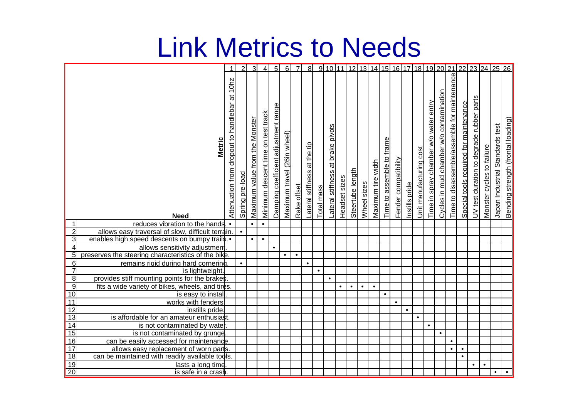## Link Metrics to Needs

|                     |                                                                                      | 1                                                   |                 |                                | 4                                  | 5 <sup>1</sup>                       | $6 \mid$                    |             | 8l                              |            |                                   |               |                  |             |                    |                           |                      |                | 9 10 11   12   13   14   15   16   17   18   19   20 |                                          |                                            | 21                                           | $\overline{22}$                        |                                          |                           | 23 24 25 26                     |                                    |
|---------------------|--------------------------------------------------------------------------------------|-----------------------------------------------------|-----------------|--------------------------------|------------------------------------|--------------------------------------|-----------------------------|-------------|---------------------------------|------------|-----------------------------------|---------------|------------------|-------------|--------------------|---------------------------|----------------------|----------------|------------------------------------------------------|------------------------------------------|--------------------------------------------|----------------------------------------------|----------------------------------------|------------------------------------------|---------------------------|---------------------------------|------------------------------------|
|                     | Metric                                                                               | 10hz<br>dropout to handlebar at<br>Attenuation from | Spring pre-load | Maximum value from the Monster | Minimum descent time on test track | Damping coefficient adjustment range | Maximum travel (26in wheel) | Rake offset | at the tip<br>Lateral stiffness | Total mass | Lateral stiffness at brake pivots | Headset sizes | Steertube length | Wheel sizes | Maximum tire width | Time to assemble to frame | Fender compatibility | Instills pride | Unit manufacturing cost                              | entry<br>Time in spray chamber w/o water | contamination<br>Cycles in mud chamber w/o | Time to disassemble/assemble for maintenance | Special tools required for maintenance | UV test duration to degrade rubber parts | Monster cycles to failure | Japan Industrial Standards test | Bending strength (frontal loading) |
|                     | <b>Need</b>                                                                          |                                                     |                 |                                |                                    |                                      |                             |             |                                 |            |                                   |               |                  |             |                    |                           |                      |                |                                                      |                                          |                                            |                                              |                                        |                                          |                           |                                 |                                    |
| 1                   | reduces vibration to the hands                                                       |                                                     |                 | $\bullet$                      | $\bullet$                          |                                      |                             |             |                                 |            |                                   |               |                  |             |                    |                           |                      |                |                                                      |                                          |                                            |                                              |                                        |                                          |                           |                                 |                                    |
| $\overline{2}$      | allows easy traversal of slow, difficult terrain.                                    |                                                     | $\bullet$       |                                | $\bullet$                          |                                      |                             |             |                                 |            |                                   |               |                  |             |                    |                           |                      |                |                                                      |                                          |                                            |                                              |                                        |                                          |                           |                                 |                                    |
| 3                   | enables high speed descents on bumpy trails.                                         |                                                     |                 | $\bullet$                      |                                    | $\bullet$                            |                             |             |                                 |            |                                   |               |                  |             |                    |                           |                      |                |                                                      |                                          |                                            |                                              |                                        |                                          |                           |                                 |                                    |
| $\overline{4}$<br>5 | allows sensitivity adjustment<br>preserves the steering characteristics of the bike. |                                                     |                 |                                |                                    |                                      | $\bullet$                   | $\bullet$   |                                 |            |                                   |               |                  |             |                    |                           |                      |                |                                                      |                                          |                                            |                                              |                                        |                                          |                           |                                 |                                    |
| 6                   | remains rigid during hard cornering                                                  |                                                     | $\bullet$       |                                |                                    |                                      |                             |             | $\bullet$                       |            |                                   |               |                  |             |                    |                           |                      |                |                                                      |                                          |                                            |                                              |                                        |                                          |                           |                                 |                                    |
| $\overline{7}$      | is lightweight.                                                                      |                                                     |                 |                                |                                    |                                      |                             |             |                                 | $\bullet$  |                                   |               |                  |             |                    |                           |                      |                |                                                      |                                          |                                            |                                              |                                        |                                          |                           |                                 |                                    |
| $\overline{8}$      | provides stiff mounting points for the brakes                                        |                                                     |                 |                                |                                    |                                      |                             |             |                                 |            | $\bullet$                         |               |                  |             |                    |                           |                      |                |                                                      |                                          |                                            |                                              |                                        |                                          |                           |                                 |                                    |
| $\overline{9}$      | fits a wide variety of bikes, wheels, and tires.                                     |                                                     |                 |                                |                                    |                                      |                             |             |                                 |            |                                   | $\bullet$     | $\bullet$        | $\bullet$   | $\bullet$          |                           |                      |                |                                                      |                                          |                                            |                                              |                                        |                                          |                           |                                 |                                    |
| 10                  | is easy to instal                                                                    |                                                     |                 |                                |                                    |                                      |                             |             |                                 |            |                                   |               |                  |             |                    | $\bullet$                 |                      |                |                                                      |                                          |                                            |                                              |                                        |                                          |                           |                                 |                                    |
| $\overline{11}$     | works with fenders                                                                   |                                                     |                 |                                |                                    |                                      |                             |             |                                 |            |                                   |               |                  |             |                    |                           | $\bullet$            |                |                                                      |                                          |                                            |                                              |                                        |                                          |                           |                                 |                                    |
| $\overline{12}$     | instills pride                                                                       |                                                     |                 |                                |                                    |                                      |                             |             |                                 |            |                                   |               |                  |             |                    |                           |                      | $\bullet$      |                                                      |                                          |                                            |                                              |                                        |                                          |                           |                                 |                                    |
| $\overline{13}$     | is affordable for an amateur enthusiast.                                             |                                                     |                 |                                |                                    |                                      |                             |             |                                 |            |                                   |               |                  |             |                    |                           |                      |                | $\bullet$                                            |                                          |                                            |                                              |                                        |                                          |                           |                                 |                                    |
| 14                  | is not contaminated by wate                                                          |                                                     |                 |                                |                                    |                                      |                             |             |                                 |            |                                   |               |                  |             |                    |                           |                      |                |                                                      | $\bullet$                                |                                            |                                              |                                        |                                          |                           |                                 |                                    |
| $\overline{15}$     | is not contaminated by grunge                                                        |                                                     |                 |                                |                                    |                                      |                             |             |                                 |            |                                   |               |                  |             |                    |                           |                      |                |                                                      |                                          | $\bullet$                                  |                                              |                                        |                                          |                           |                                 |                                    |
| 16                  | can be easily accessed for maintenande                                               |                                                     |                 |                                |                                    |                                      |                             |             |                                 |            |                                   |               |                  |             |                    |                           |                      |                |                                                      |                                          |                                            | $\bullet$                                    |                                        |                                          |                           |                                 |                                    |
| 17                  | allows easy replacement of worn parts.                                               |                                                     |                 |                                |                                    |                                      |                             |             |                                 |            |                                   |               |                  |             |                    |                           |                      |                |                                                      |                                          |                                            | $\bullet$                                    | $\bullet$                              |                                          |                           |                                 |                                    |
| $\overline{18}$     | can be maintained with readily available tools.                                      |                                                     |                 |                                |                                    |                                      |                             |             |                                 |            |                                   |               |                  |             |                    |                           |                      |                |                                                      |                                          |                                            |                                              | $\bullet$                              |                                          |                           |                                 |                                    |
| 19                  | lasts a long time                                                                    |                                                     |                 |                                |                                    |                                      |                             |             |                                 |            |                                   |               |                  |             |                    |                           |                      |                |                                                      |                                          |                                            |                                              |                                        | $\bullet$                                | $\bullet$                 |                                 |                                    |
| $\overline{20}$     | is safe in a crash                                                                   |                                                     |                 |                                |                                    |                                      |                             |             |                                 |            |                                   |               |                  |             |                    |                           |                      |                |                                                      |                                          |                                            |                                              |                                        |                                          |                           | $\bullet$                       | $\bullet$                          |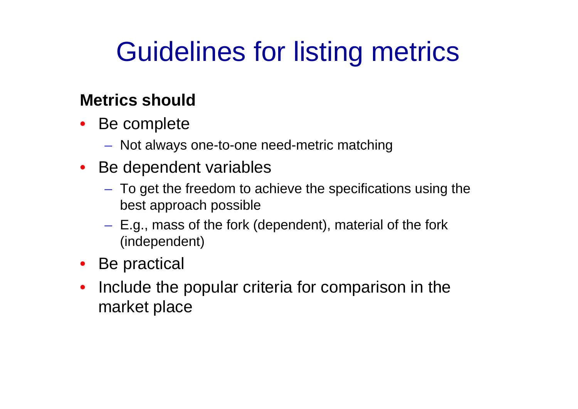# Guidelines for listing metrics

### **Metrics should**

- $\bullet$  Be complete
	- Not always one-to-one need-metric matching
- Be dependent variables
	- To get the freedom to achieve the specifications using the best approach possible
	- E.g., mass of the fork (dependent), material of the fork (independent)
- Be practical
- $\bullet$  Include the popular criteria for comparison in the market place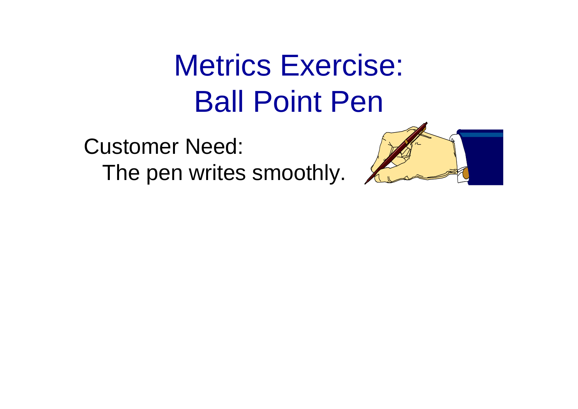# Metrics Exercise: Ball Point Pen

Customer Need: The pen writes smoothly.

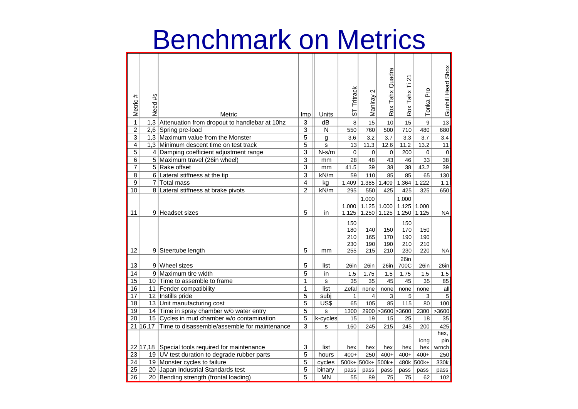## Benchmark on Metrics

| Metric #        | Need #s         | Metric                                            | Imp                       | Units            | ST Tritrack                     | N<br>Maniray             | Tahx Quadra<br>Rox       | $\overline{2}$<br>Tahx Ti<br>R <sub>o</sub> x | $\overline{P}^{\circ}$<br>Tonka | Gunhill Head Shox |
|-----------------|-----------------|---------------------------------------------------|---------------------------|------------------|---------------------------------|--------------------------|--------------------------|-----------------------------------------------|---------------------------------|-------------------|
| $\mathbf{1}$    |                 | 1,3 Attenuation from dropout to handlebar at 10hz | 3                         | dB               | 8                               | 15                       | 10                       | 15                                            | $\boldsymbol{9}$                | 13                |
| $\overline{2}$  |                 | 2,6 Spring pre-load                               | 3                         | N                | 550                             | 760                      | 500                      | 710                                           | 480                             | 680               |
| 3               |                 | 1,3 Maximum value from the Monster                | 5                         | g                | 3.6                             | 3.2                      | 3.7                      | 3.3                                           | 3.7                             | 3.4               |
| $\overline{4}$  |                 | 1,3 Minimum descent time on test track            | 5                         | s                | 13                              | 11.3                     | 12.6                     | 11.2                                          | 13.2                            | 11                |
| $\overline{5}$  |                 | 4 Damping coefficient adjustment range            | 3                         | $N-s/m$          | $\mathbf 0$                     | 0                        | 0                        | 200                                           | $\mathbf 0$                     | $\mathbf 0$       |
| 6               |                 | 5 Maximum travel (26in wheel)                     | 3                         | mm               | 28                              | 48                       | 43                       | 46                                            | 33                              | $\overline{38}$   |
| $\overline{7}$  |                 | 5 Rake offset                                     | $\overline{\mathbf{3}}$   | mm               | 41.5                            | 39                       | 38                       | 38                                            | 43.2                            | 39                |
| $\overline{8}$  |                 | 6 Lateral stiffness at the tip                    | $\overline{\mathbf{3}}$   | kN/m             | 59                              | 110                      | 85                       | $\overline{85}$                               | 65                              | 130               |
| $\overline{9}$  | 7               | <b>Total mass</b>                                 | 4                         | kg               | 1.409                           | 1.385                    | 1.409                    | 1.364                                         | 1.222                           | 1.1               |
| 10              |                 | 8 Lateral stiffness at brake pivots               | $\overline{2}$            | kN/m             | 295                             | 550                      | 425                      | 425                                           | 325                             | 650               |
| 11              |                 | 9 Headset sizes                                   | 5                         | in               | 1.000<br>1.125                  | 1.000<br>1.125<br>1.250  | 1.000<br>1.125           | 1.000<br>1.125<br> 1.250                      | 1.000<br>1.125                  | <b>NA</b>         |
| 12              | 9               | Steertube length                                  | 5                         | mm               | 150<br>180<br>210<br>230<br>255 | 140<br>165<br>190<br>215 | 150<br>170<br>190<br>210 | 150<br>170<br>190<br>210<br>230<br>26in       | 150<br>190<br>210<br>220        | <b>NA</b>         |
| 13              |                 | 9 Wheel sizes                                     | 5                         | list             | 26in                            | 26in                     | 26in                     | 700C                                          | 26in                            | 26in              |
| 14              |                 | 9 Maximum tire width                              | 5                         | in               | 1.5                             | 1.75                     | 1.5                      | 1.75                                          | 1.5                             | 1.5               |
| 15              |                 | 10 Time to assemble to frame                      | 1                         | s                | 35                              | $\overline{35}$          | 45                       | 45                                            | 35                              | 85                |
| 16              | 11 <sup>1</sup> | Fender compatibility                              | $\mathbf 1$               | list             | Zefal                           | none                     | none                     | none                                          | none                            | all               |
| 17              |                 | 12 Instills pride                                 | $\overline{5}$            | subj             | 1                               | $\overline{\mathbf{4}}$  | 3                        | 5                                             | 3                               | $\sqrt{5}$        |
| 18              |                 | 13 Unit manufacturing cost                        | $\overline{5}$            | $\overline{USS}$ | 65                              | 105                      | 85                       | $\frac{115}{115}$                             | 80                              | 100               |
| 19              |                 | 14 Time in spray chamber w/o water entry          | 5                         | s                | 1300                            |                          | 2900 > 3600 > 3600       |                                               | 2300                            | >3600             |
| 20              |                 | 15 Cycles in mud chamber w/o contamination        | $\overline{5}$            | k-cycles         | 15                              | 19                       | 15                       | 25                                            | 18                              | 35                |
|                 | 21 16,17        | Time to disassemble/assemble for maintenance      | $\overline{\overline{3}}$ | S                | 160                             | $\frac{245}{ }$          | $\overline{215}$         | $\overline{245}$                              | 200                             | 425               |
|                 |                 |                                                   |                           |                  |                                 |                          |                          |                                               | long                            | hex,<br>pin       |
|                 | 22 17,18        | Special tools required for maintenance            | 3                         | list             | hex                             | hex                      | hex                      | hex                                           | hex                             | wrnch             |
| 23              |                 | 19 UV test duration to degrade rubber parts       | 5                         | hours            | $400+$                          | 250                      | $400+$                   | $400+$                                        | $400+$                          | 250               |
| $\overline{24}$ |                 | 19 Monster cycles to failure                      | 5                         | cycles           |                                 | 500k+ 500k+ 500k+        |                          |                                               | 480k 500k+                      | 330k              |
| $\overline{25}$ |                 | 20 Japan Industrial Standards test                | 5                         | binary           | pass                            | pass                     | pass                     | pass                                          | pass                            | pass              |
| 26              |                 | 20 Bending strength (frontal loading)             | 5                         | <b>MN</b>        | 55                              | 89                       | 75                       | 75                                            | 62                              | 102               |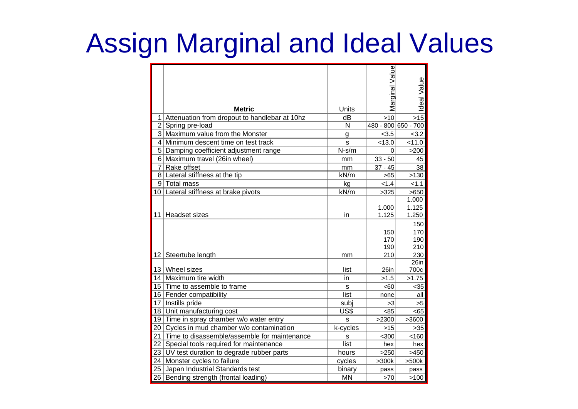# Assign Marginal and Ideal Values

|                 |                                               |           | Marginal Value      |                         |
|-----------------|-----------------------------------------------|-----------|---------------------|-------------------------|
|                 |                                               |           |                     |                         |
|                 |                                               |           |                     |                         |
|                 |                                               |           |                     |                         |
|                 | <b>Metric</b>                                 | Units     |                     | Ideal Value             |
|                 | Attenuation from dropout to handlebar at 10hz | dB        | $>10$               | $>15$                   |
|                 | 2 Spring pre-load                             | N         | 480 - 800 650 - 700 |                         |
|                 | 3 Maximum value from the Monster              | g         | < 3.5               | < 3.2                   |
|                 | 4 Minimum descent time on test track          | S         | < 13.0              | < 11.0                  |
|                 | 5 Damping coefficient adjustment range        | $N-s/m$   | 0                   | >200                    |
|                 | 6 Maximum travel (26in wheel)                 | mm        | $33 - 50$           | 45                      |
|                 | 7 Rake offset                                 | mm        | $37 - 45$           | 38                      |
|                 | 8 Lateral stiffness at the tip                | kN/m      | $>65$               | >130                    |
|                 | 9 Total mass                                  | kg        | 1.4                 | 1.1                     |
|                 | 10 Lateral stiffness at brake pivots          | kN/m      | >325                | >650                    |
|                 |                                               |           |                     | 1.000                   |
|                 |                                               |           | 1.000               | 1.125                   |
| 11              | <b>Headset sizes</b>                          | in        | 1.125               | 1.250                   |
|                 |                                               |           |                     | 150                     |
|                 |                                               |           | 150                 | 170                     |
|                 |                                               |           | 170                 | 190                     |
|                 |                                               |           | 190                 | 210                     |
|                 | 12 Steertube length                           | mm        | 210                 | 230<br>26 <sub>in</sub> |
|                 | 13 Wheel sizes                                | list      | 26in                | 700c                    |
|                 | 14 Maximum tire width                         | in        | >1.5                | >1.75                   |
|                 | 15 Time to assemble to frame                  | s         | <60                 | $35$                    |
|                 | 16   Fender compatibility                     | list      | none                | all                     |
|                 | 17   Instills pride                           | subj      | >3                  | >5                      |
|                 | 18 Unit manufacturing cost                    | US\$      | <85                 | <65                     |
|                 | 19 Time in spray chamber w/o water entry      | S         | >2300               | >3600                   |
| 20              | Cycles in mud chamber w/o contamination       | k-cycles  | $>15$               | $>35$                   |
| $\overline{21}$ | Time to disassemble/assemble for maintenance  | S         | $300$               | < 160                   |
| 22              | Special tools required for maintenance        | list      | hex                 | hex                     |
|                 | 23 UV test duration to degrade rubber parts   | hours     | >250                | >450                    |
|                 | 24   Monster cycles to failure                | cycles    | >300k               | >500k                   |
| 25              | Japan Industrial Standards test               | binary    | pass                | pass                    |
|                 | 26 Bending strength (frontal loading)         | <b>MN</b> | >70                 | >100                    |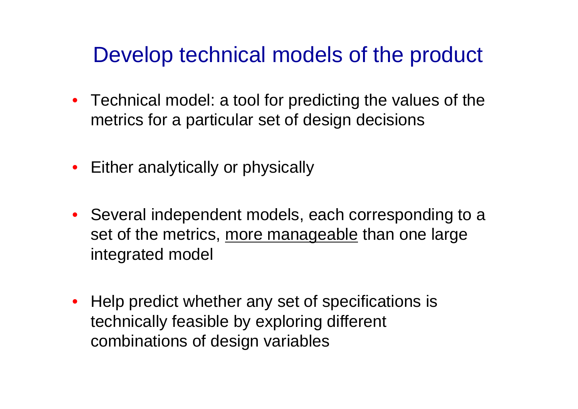### Develop technical models of the product

- Technical model: a tool for predicting the values of the metrics for a particular set of design decisions
- Either analytically or physically
- Several independent models, each corresponding to a set of the metrics, more manageable than one large integrated model
- Help predict whether any set of specifications is technically feasible by exploring different combinations of design variables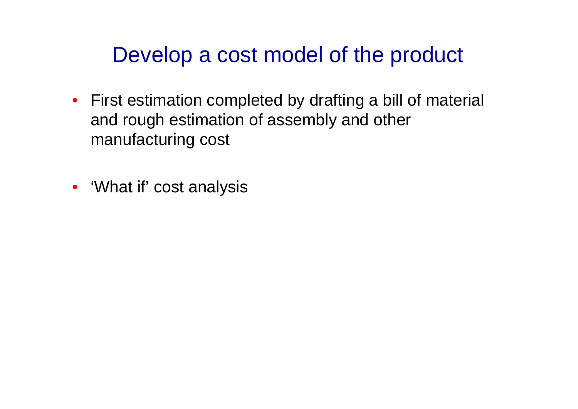### Develop a cost model of the product

- First estimation completed by drafting a bill of material and rough estimation of assembly and other manufacturing cost
- 'What if' cost analysis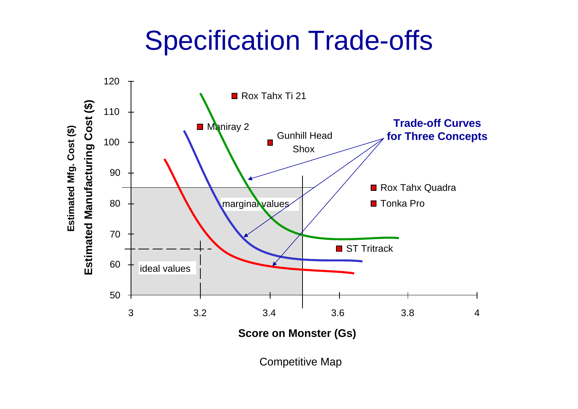## Specification Trade-offs



Competitive Map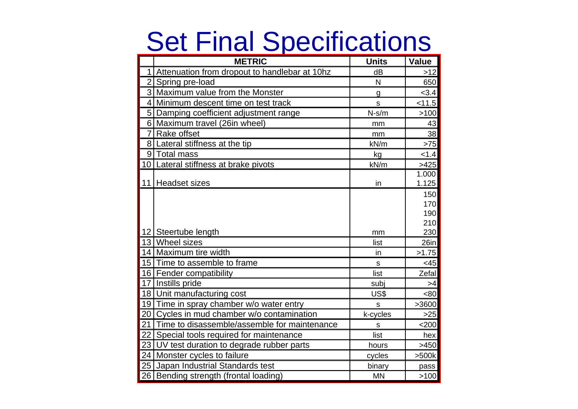# **Set Final Specifications**

|                 | <b>METRIC</b>                                 | <b>Units</b> | Value    |
|-----------------|-----------------------------------------------|--------------|----------|
| 1               | Attenuation from dropout to handlebar at 10hz | dB           | >12      |
| $\overline{2}$  | Spring pre-load                               | N            | 650      |
| 3               | Maximum value from the Monster                | g            | $-3.4$   |
| 4               | Minimum descent time on test track            | $\mathbf S$  | $<$ 11.5 |
| 5               | Damping coefficient adjustment range          | $N-s/m$      | $>100$   |
| 6               | Maximum travel (26in wheel)                   | mm           | 43       |
| $\overline{7}$  | Rake offset                                   | mm           | 38       |
| 8               | Lateral stiffness at the tip                  | kN/m         | >75      |
| 9               | <b>Total mass</b>                             | kg           | < 1.4    |
| 10              | Lateral stiffness at brake pivots             | kN/m         | $>425$   |
|                 |                                               |              | 1.000    |
|                 | 11 Headset sizes                              | in           | 1.125    |
|                 |                                               |              | 150      |
|                 |                                               |              | 170      |
|                 |                                               |              | 190      |
|                 |                                               |              | 210      |
|                 | 12 Steertube length                           | mm           | 230      |
| 13              | <b>Wheel sizes</b>                            | list         | $26$ in  |
|                 | 14 Maximum tire width                         | in           | >1.75    |
|                 | 15 Time to assemble to frame                  | $\mathbf S$  | $<$ 45   |
| 16              | <b>Fender compatibility</b>                   | list         | Zefal    |
| 17              | Instills pride                                | subi         | >4       |
|                 | 18 Unit manufacturing cost                    | US\$         | 80       |
| 19              | Time in spray chamber w/o water entry         | S            | >3600    |
| 20              | Cycles in mud chamber w/o contamination       | k-cycles     | >25      |
| $\overline{21}$ | Time to disassemble/assemble for maintenance  | $\mathsf S$  | $200$    |
| $\overline{22}$ | Special tools required for maintenance        | list         | hex      |
| 23              | UV test duration to degrade rubber parts      | hours        | $>450$   |
| $\overline{24}$ | Monster cycles to failure                     | cycles       | >500k    |
| 25              | Japan Industrial Standards test               | binary       | pass     |
| 26              | Bending strength (frontal loading)            | <b>MN</b>    | >100     |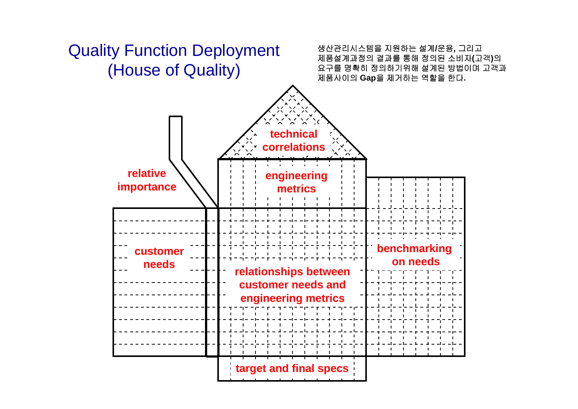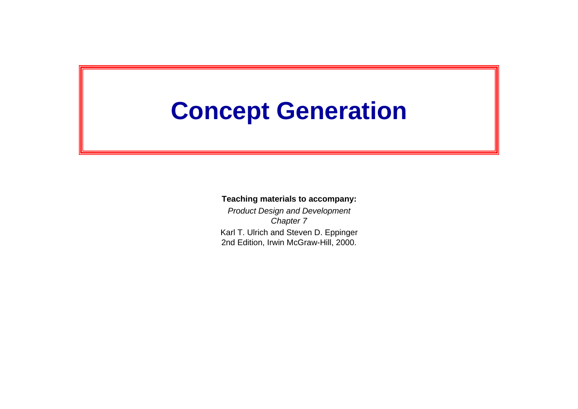### **Concept Generation**

**Teaching materials to accompany:**

*Product Design and Development Chapter 7* Karl T. Ulrich and Steven D. Eppinger 2nd Edition, Irwin McGraw-Hill, 2000.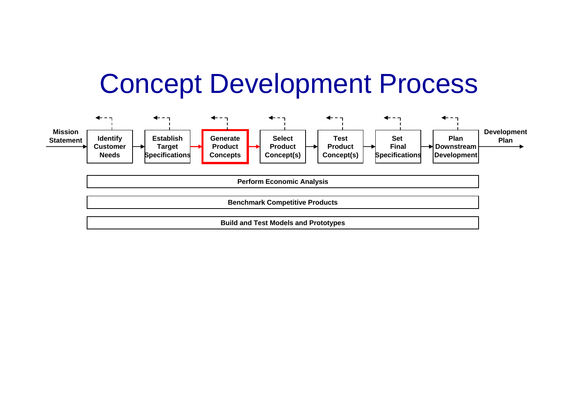### Concept Development Process

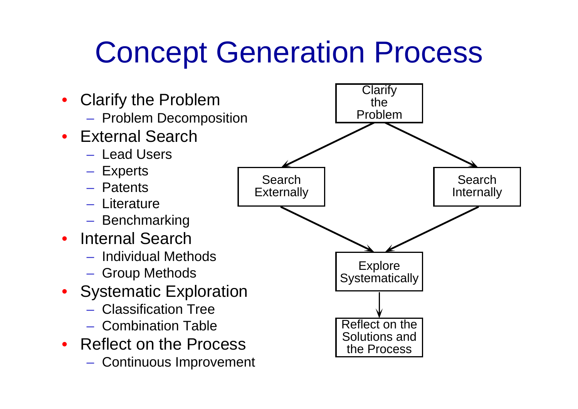# Concept Generation Process

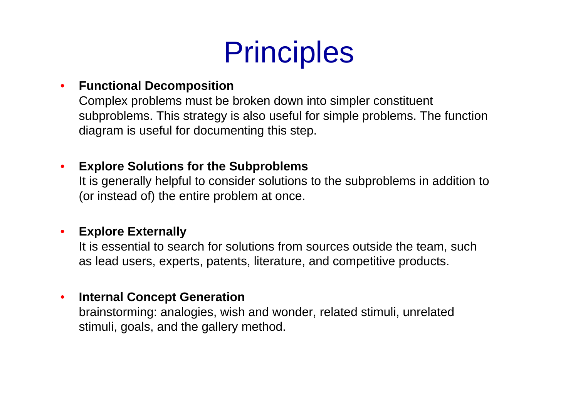# **Principles**

#### $\bullet$ **Functional Decomposition**

Complex problems must be broken down into simpler constituent subproblems. This strategy is also useful for simple problems. The function diagram is useful for documenting this step.

#### $\bullet$ **Explore Solutions for the Subproblems**

It is generally helpful to consider solutions to the subproblems in addition to (or instead of) the entire problem at once.

#### $\bullet$ **Explore Externally**

It is essential to search for solutions from sources outside the team, such as lead users, experts, patents, literature, and competitive products.

#### $\bullet$ **Internal Concept Generation**

brainstorming: analogies, wish and wonder, related stimuli, unrelated stimuli, goals, and the gallery method.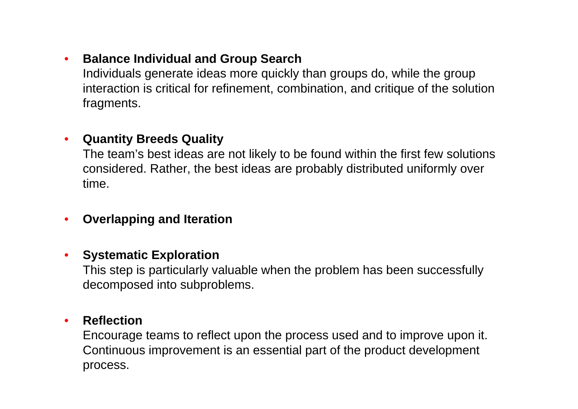#### $\bullet$ **Balance Individual and Group Search**

Individuals generate ideas more quickly than groups do, while the group interaction is critical for refinement, combination, and critique of the solution fragments.

#### $\bullet$ **Quantity Breeds Quality**

The team's best ideas are not likely to be found within the first few solutions considered. Rather, the best ideas are probably distributed uniformly over time.

#### •**Overlapping and Iteration**

#### $\bullet$ **Systematic Exploration**

This step is particularly valuable when the problem has been successfully decomposed into subproblems.

#### $\bullet$ **Reflection**

Encourage teams to reflect upon the process used and to improve upon it. Continuous improvement is an essential part of the product development process.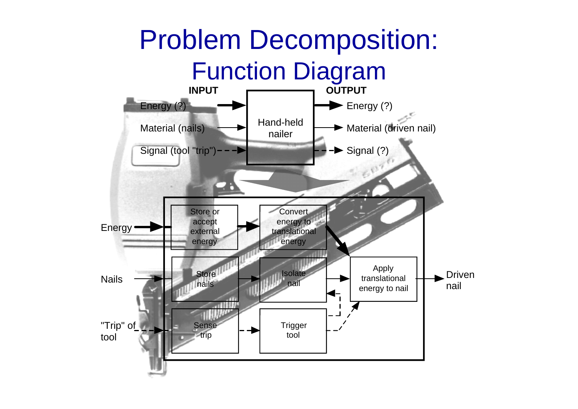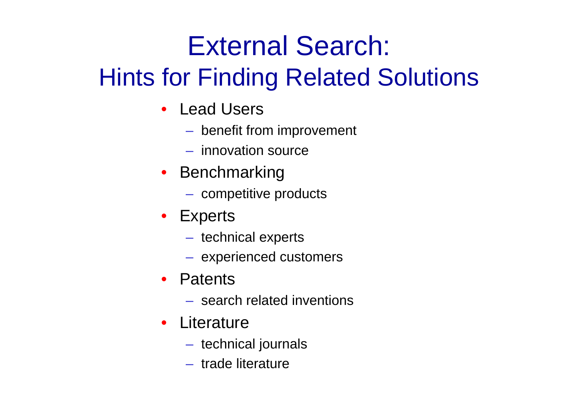# External Search: Hints for Finding Related Solutions

- • Lead Users
	- $-$  benefit from improvement
	- innovation source
- Benchmarking
	- – $-$  competitive products
- Experts
	- $-$  technical experts
	- experienced customers
- Patents
	- search related inventions
- Literature
	- $-$  technical journals
	- trade literature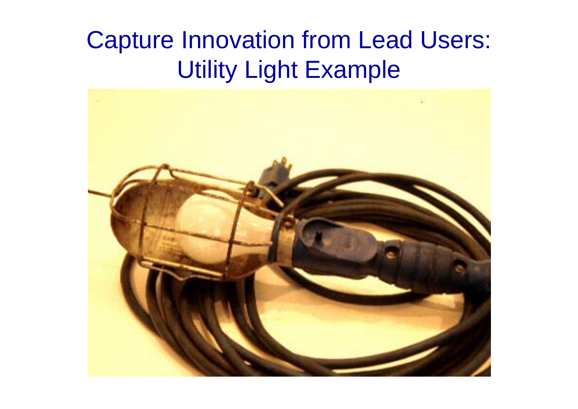### Capture Innovation from Lead Users: Utility Light Example

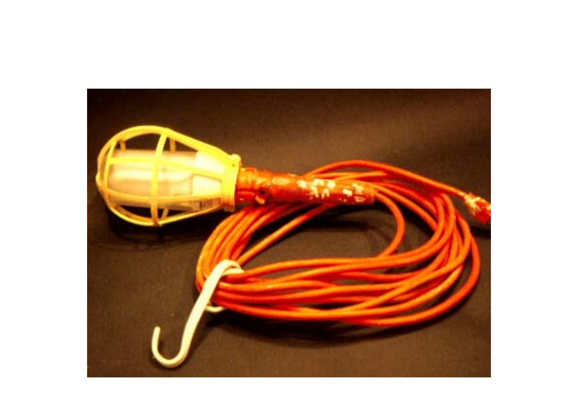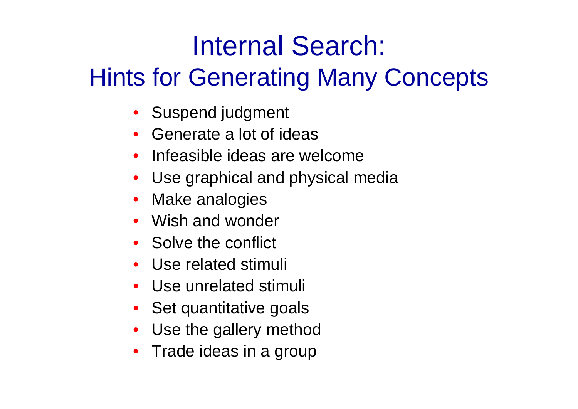# Internal Search: Hints for Generating Many Concepts

- Suspend judgment
- Generate a lot of ideas
- Infeasible ideas are welcome
- Use graphical and physical media
- Make analogies
- Wish and wonder
- Solve the conflict
- Use related stimuli
- Use unrelated stimuli
- Set quantitative goals
- Use the gallery method
- Trade ideas in a group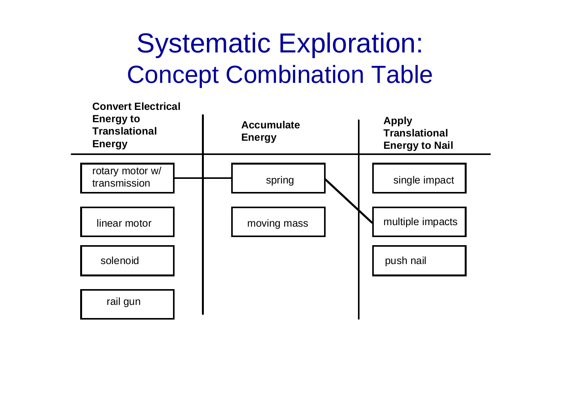# Systematic Exploration: Concept Combination Table

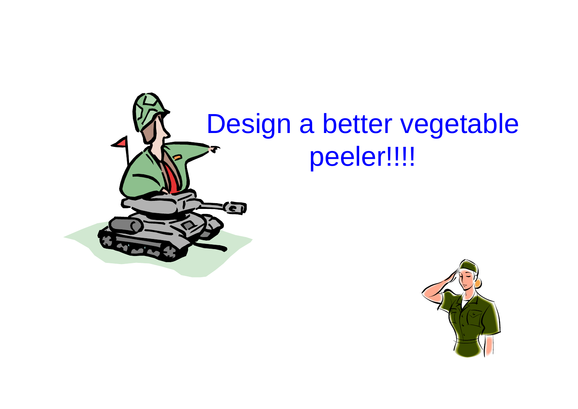# Design a better vegetable peeler!!!!

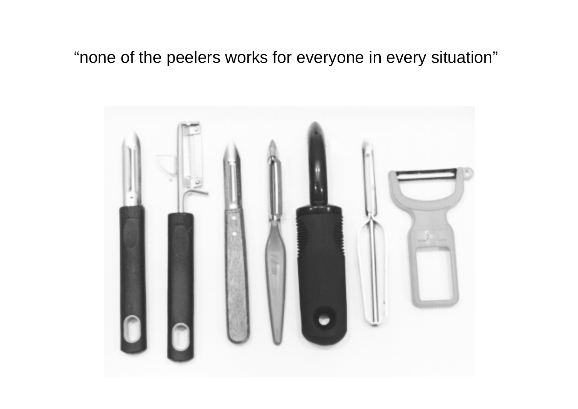"none of the peelers works for everyone in every situation"

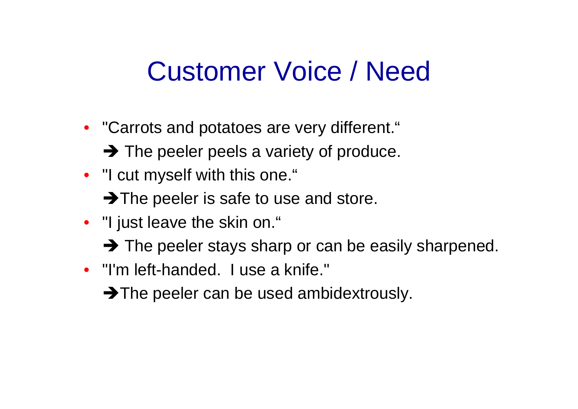## Customer Voice / Need

- "Carrots and potatoes are very different."  $\rightarrow$  The peeler peels a variety of produce.
- "I cut myself with this one."

 $\rightarrow$  The peeler is safe to use and store.

- "I just leave the skin on."
	- $\rightarrow$  The peeler stays sharp or can be easily sharpened.
- "I'm left-handed. I use a knife."

 $\rightarrow$  The peeler can be used ambidextrously.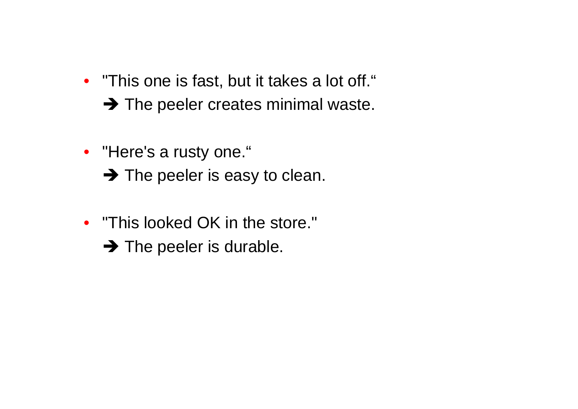- "This one is fast, but it takes a lot off."  $\rightarrow$  The peeler creates minimal waste.
- "Here's a rusty one."
	- $\rightarrow$  The peeler is easy to clean.
- "This looked OK in the store."
	- $\rightarrow$  The peeler is durable.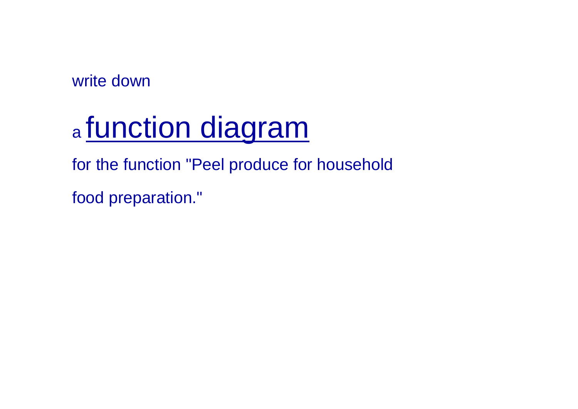write down

# a function diagram

for the function "Peel produce for household

food preparation."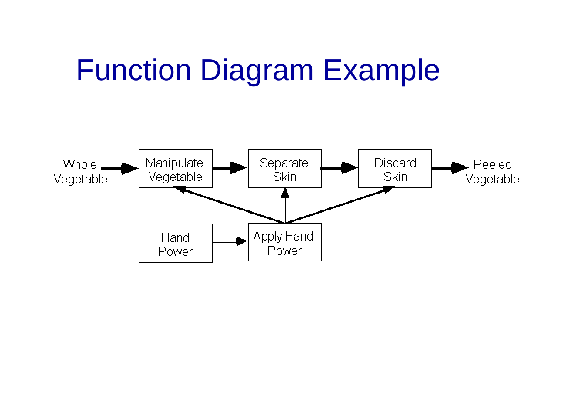# Function Diagram Example

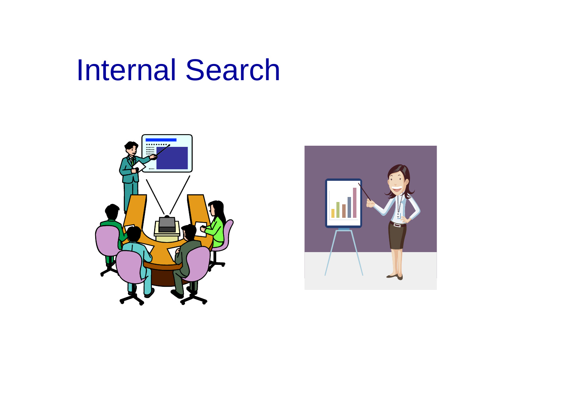# Internal Search



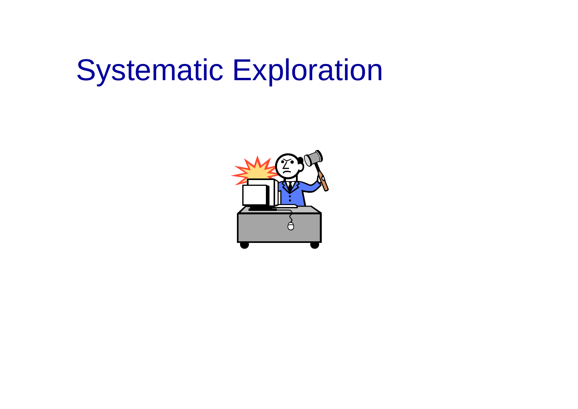# Systematic Exploration